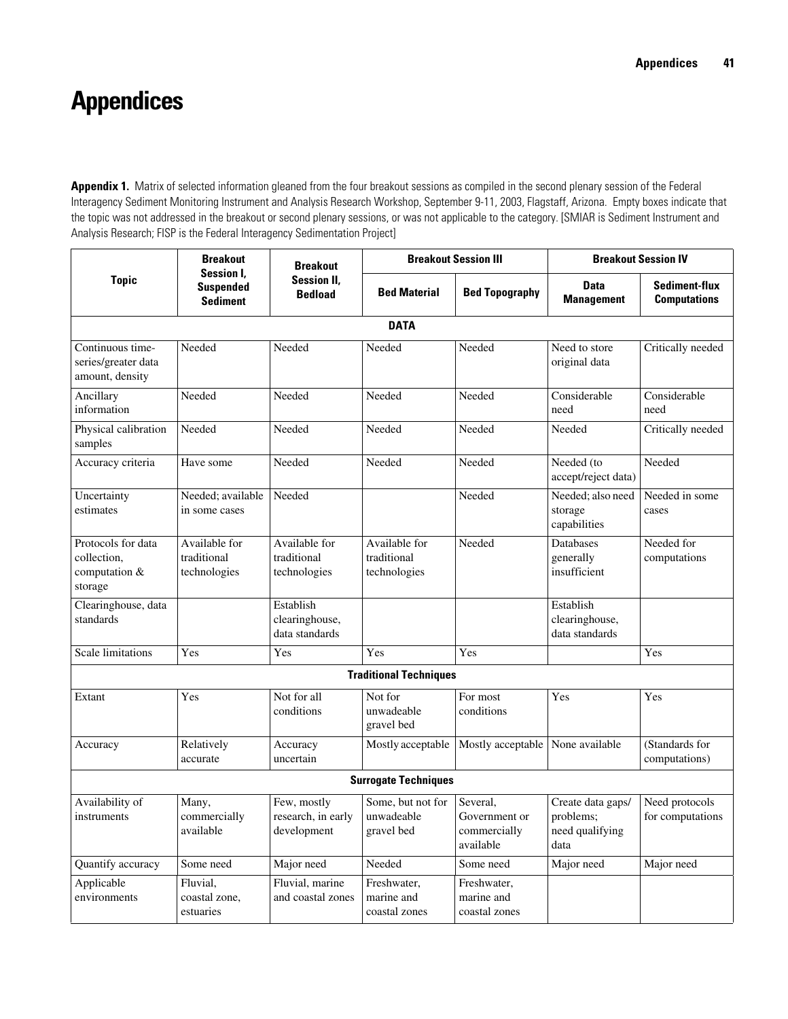## **Appendices**

Appendix 1. Matrix of selected information gleaned from the four breakout sessions as compiled in the second plenary session of the Federal Interagency Sediment Monitoring Instrument and Analysis Research Workshop, September 9-11, 2003, Flagstaff, Arizona. Empty boxes indicate that the topic was not addressed in the breakout or second plenary sessions, or was not applicable to the category. [SMIAR is Sediment Instrument and Analysis Research; FISP is the Federal Interagency Sedimentation Project]

| <b>Topic</b>                                                  | <b>Breakout</b><br><b>Session I.</b><br><b>Suspended</b><br><b>Sediment</b> | <b>Breakout</b><br><b>Session II,</b><br><b>Bedload</b> | <b>Breakout Session III</b>                   |                                                        | <b>Breakout Session IV</b>                                |                                             |  |  |  |  |
|---------------------------------------------------------------|-----------------------------------------------------------------------------|---------------------------------------------------------|-----------------------------------------------|--------------------------------------------------------|-----------------------------------------------------------|---------------------------------------------|--|--|--|--|
|                                                               |                                                                             |                                                         | <b>Bed Material</b>                           | <b>Bed Topography</b>                                  | <b>Data</b><br><b>Management</b>                          | <b>Sediment-flux</b><br><b>Computations</b> |  |  |  |  |
| <b>DATA</b>                                                   |                                                                             |                                                         |                                               |                                                        |                                                           |                                             |  |  |  |  |
| Continuous time-<br>series/greater data<br>amount, density    | Needed                                                                      | Needed                                                  | Needed                                        | Needed                                                 | Need to store<br>original data                            | Critically needed                           |  |  |  |  |
| Ancillary<br>information                                      | Needed                                                                      | Needed                                                  | Needed                                        | Needed                                                 | Considerable<br>need                                      | Considerable<br>need                        |  |  |  |  |
| Physical calibration<br>samples                               | Needed                                                                      | Needed                                                  | Needed                                        | Needed                                                 | Needed                                                    | Critically needed                           |  |  |  |  |
| Accuracy criteria                                             | Have some                                                                   | Needed                                                  | Needed                                        | Needed                                                 | Needed (to<br>accept/reject data)                         | Needed                                      |  |  |  |  |
| Uncertainty<br>estimates                                      | Needed; available<br>in some cases                                          | Needed                                                  |                                               | Needed                                                 | Needed; also need<br>storage<br>capabilities              | Needed in some<br>cases                     |  |  |  |  |
| Protocols for data<br>collection,<br>computation &<br>storage | Available for<br>traditional<br>technologies                                | Available for<br>traditional<br>technologies            | Available for<br>traditional<br>technologies  | Needed                                                 | <b>Databases</b><br>generally<br>insufficient             | Needed for<br>computations                  |  |  |  |  |
| Clearinghouse, data<br>standards                              |                                                                             | Establish<br>clearinghouse,<br>data standards           |                                               |                                                        | Establish<br>clearinghouse,<br>data standards             |                                             |  |  |  |  |
| Scale limitations                                             | Yes                                                                         | Yes                                                     | Yes                                           | Yes                                                    |                                                           | Yes                                         |  |  |  |  |
|                                                               |                                                                             |                                                         | <b>Traditional Techniques</b>                 |                                                        |                                                           |                                             |  |  |  |  |
| Extant                                                        | Yes                                                                         | Not for all<br>conditions                               | Not for<br>unwadeable<br>gravel bed           | For most<br>conditions                                 | Yes                                                       | Yes                                         |  |  |  |  |
| Accuracy                                                      | Relatively<br>accurate                                                      | Accuracy<br>uncertain                                   | Mostly acceptable                             | Mostly acceptable                                      | None available                                            | (Standards for<br>computations)             |  |  |  |  |
| <b>Surrogate Techniques</b>                                   |                                                                             |                                                         |                                               |                                                        |                                                           |                                             |  |  |  |  |
| Availability of<br>instruments                                | Many,<br>commercially<br>available                                          | Few, mostly<br>research, in early<br>development        | Some, but not for<br>unwadeable<br>gravel bed | Several.<br>Government or<br>commercially<br>available | Create data gaps/<br>problems;<br>need qualifying<br>data | Need protocols<br>for computations          |  |  |  |  |
| Quantify accuracy                                             | Some need                                                                   | Major need                                              | Needed                                        | Some need                                              | Major need                                                | Major need                                  |  |  |  |  |
| Applicable<br>environments                                    | Fluvial,<br>coastal zone,<br>estuaries                                      | Fluvial, marine<br>and coastal zones                    | Freshwater,<br>marine and<br>coastal zones    | Freshwater,<br>marine and<br>coastal zones             |                                                           |                                             |  |  |  |  |